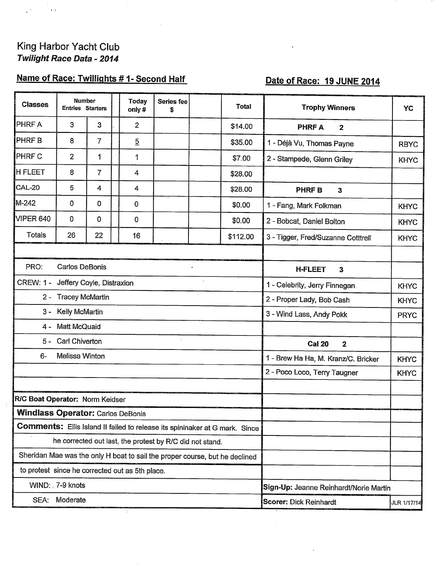## King Harbor Yacht Club Twilight Race Data - 2014

# Name of Race: Twillights # 1- Second Half

# Date of Race: 19 JUNE 2014

| <b>PHRFA</b><br>3<br>3<br>2<br>\$14.00<br><b>PHRFA</b><br>$\overline{2}$<br><b>PHRFB</b><br>8<br>$\overline{7}$<br>5<br>\$35.00<br>1 - Déjà Vu, Thomas Payne<br><b>RBYC</b><br><b>PHRFC</b><br>2<br>1<br>1<br>\$7.00<br>2 - Stampede, Glenn Griley<br><b>KHYC</b><br>8<br>$\overline{7}$<br>4<br>\$28.00<br>5<br>4<br>4<br>\$28.00<br><b>PHRF B</b><br>$\mathbf{3}$<br>0<br>0<br>0<br>\$0.00<br>1 - Fang, Mark Folkman<br><b>KHYC</b><br>0<br>$\mathbf 0$<br>0<br>\$0.00<br>2 - Bobcat, Daniel Bolton<br><b>KHYC</b><br>Totals<br>26<br>22<br>16<br>\$112.00<br>3 - Tigger, Fred/Suzanne Cotttrell<br><b>KHYC</b><br>PRO:<br>Carlos DeBonis<br><b>H-FLEET</b><br>3<br><b>CREW: 1 -</b><br>Jeffery Coyle, Distraxion<br>1 - Celebrity, Jerry Finnegan.<br><b>KHYC</b><br><b>Tracey McMartin</b><br>$2 -$<br>2 - Proper Lady, Bob Cash<br><b>KHYC</b><br>Kelly McMartin<br>3 -<br>3 - Wind Lass, Andy Pokk<br><b>PRYC</b><br><b>Matt McQuaid</b><br>4 -<br><b>Carl Chiverton</b><br>5 –<br><b>Cal 20</b><br>$\mathbf{2}$<br>Melissa Winton<br>6-<br>1 - Brew Ha Ha, M. Kranz/C. Bricker<br><b>KHYC</b><br>2 - Poco Loco, Terry Taugner<br><b>KHYC</b><br>R/C Boat Operator: Norm Keidser<br><b>Windlass Operator: Carlos DeBonis</b><br><b>Comments:</b> Ellis Island II failed to release its spininaker at G mark. Since<br>he corrected out last, the protest by R/C did not stand.<br>Sheridan Mae was the only H boat to sail the proper course, but he declined<br>to protest since he corrected out as 5th place.<br>WIND: 7-9 knots<br>Sign-Up: Jeanne Reinhardt/Norie Martin<br>Moderate<br>SEA:<br>Scorer: Dick Reinhardt | <b>Classes</b> | <b>Number</b><br><b>Entries Starters</b> |  | <b>Today</b><br>only# | Series fee<br>\$ | <b>Total</b> | <b>Trophy Winners</b> | YC          |
|-----------------------------------------------------------------------------------------------------------------------------------------------------------------------------------------------------------------------------------------------------------------------------------------------------------------------------------------------------------------------------------------------------------------------------------------------------------------------------------------------------------------------------------------------------------------------------------------------------------------------------------------------------------------------------------------------------------------------------------------------------------------------------------------------------------------------------------------------------------------------------------------------------------------------------------------------------------------------------------------------------------------------------------------------------------------------------------------------------------------------------------------------------------------------------------------------------------------------------------------------------------------------------------------------------------------------------------------------------------------------------------------------------------------------------------------------------------------------------------------------------------------------------------------------------------------------------------------------------------------------------------|----------------|------------------------------------------|--|-----------------------|------------------|--------------|-----------------------|-------------|
|                                                                                                                                                                                                                                                                                                                                                                                                                                                                                                                                                                                                                                                                                                                                                                                                                                                                                                                                                                                                                                                                                                                                                                                                                                                                                                                                                                                                                                                                                                                                                                                                                                   |                |                                          |  |                       |                  |              |                       |             |
|                                                                                                                                                                                                                                                                                                                                                                                                                                                                                                                                                                                                                                                                                                                                                                                                                                                                                                                                                                                                                                                                                                                                                                                                                                                                                                                                                                                                                                                                                                                                                                                                                                   |                |                                          |  |                       |                  |              |                       |             |
| <b>H FLEET</b>                                                                                                                                                                                                                                                                                                                                                                                                                                                                                                                                                                                                                                                                                                                                                                                                                                                                                                                                                                                                                                                                                                                                                                                                                                                                                                                                                                                                                                                                                                                                                                                                                    |                |                                          |  |                       |                  |              |                       |             |
| CAL-20<br>M-242<br>VIPER 640                                                                                                                                                                                                                                                                                                                                                                                                                                                                                                                                                                                                                                                                                                                                                                                                                                                                                                                                                                                                                                                                                                                                                                                                                                                                                                                                                                                                                                                                                                                                                                                                      |                |                                          |  |                       |                  |              |                       |             |
|                                                                                                                                                                                                                                                                                                                                                                                                                                                                                                                                                                                                                                                                                                                                                                                                                                                                                                                                                                                                                                                                                                                                                                                                                                                                                                                                                                                                                                                                                                                                                                                                                                   |                |                                          |  |                       |                  |              |                       |             |
|                                                                                                                                                                                                                                                                                                                                                                                                                                                                                                                                                                                                                                                                                                                                                                                                                                                                                                                                                                                                                                                                                                                                                                                                                                                                                                                                                                                                                                                                                                                                                                                                                                   |                |                                          |  |                       |                  |              |                       |             |
|                                                                                                                                                                                                                                                                                                                                                                                                                                                                                                                                                                                                                                                                                                                                                                                                                                                                                                                                                                                                                                                                                                                                                                                                                                                                                                                                                                                                                                                                                                                                                                                                                                   |                |                                          |  |                       |                  |              |                       |             |
|                                                                                                                                                                                                                                                                                                                                                                                                                                                                                                                                                                                                                                                                                                                                                                                                                                                                                                                                                                                                                                                                                                                                                                                                                                                                                                                                                                                                                                                                                                                                                                                                                                   |                |                                          |  |                       |                  |              |                       |             |
|                                                                                                                                                                                                                                                                                                                                                                                                                                                                                                                                                                                                                                                                                                                                                                                                                                                                                                                                                                                                                                                                                                                                                                                                                                                                                                                                                                                                                                                                                                                                                                                                                                   |                |                                          |  |                       |                  |              |                       |             |
|                                                                                                                                                                                                                                                                                                                                                                                                                                                                                                                                                                                                                                                                                                                                                                                                                                                                                                                                                                                                                                                                                                                                                                                                                                                                                                                                                                                                                                                                                                                                                                                                                                   |                |                                          |  |                       |                  |              |                       |             |
|                                                                                                                                                                                                                                                                                                                                                                                                                                                                                                                                                                                                                                                                                                                                                                                                                                                                                                                                                                                                                                                                                                                                                                                                                                                                                                                                                                                                                                                                                                                                                                                                                                   |                |                                          |  |                       |                  |              |                       |             |
|                                                                                                                                                                                                                                                                                                                                                                                                                                                                                                                                                                                                                                                                                                                                                                                                                                                                                                                                                                                                                                                                                                                                                                                                                                                                                                                                                                                                                                                                                                                                                                                                                                   |                |                                          |  |                       |                  |              |                       |             |
|                                                                                                                                                                                                                                                                                                                                                                                                                                                                                                                                                                                                                                                                                                                                                                                                                                                                                                                                                                                                                                                                                                                                                                                                                                                                                                                                                                                                                                                                                                                                                                                                                                   |                |                                          |  |                       |                  |              |                       |             |
|                                                                                                                                                                                                                                                                                                                                                                                                                                                                                                                                                                                                                                                                                                                                                                                                                                                                                                                                                                                                                                                                                                                                                                                                                                                                                                                                                                                                                                                                                                                                                                                                                                   |                |                                          |  |                       |                  |              |                       |             |
|                                                                                                                                                                                                                                                                                                                                                                                                                                                                                                                                                                                                                                                                                                                                                                                                                                                                                                                                                                                                                                                                                                                                                                                                                                                                                                                                                                                                                                                                                                                                                                                                                                   |                |                                          |  |                       |                  |              |                       |             |
|                                                                                                                                                                                                                                                                                                                                                                                                                                                                                                                                                                                                                                                                                                                                                                                                                                                                                                                                                                                                                                                                                                                                                                                                                                                                                                                                                                                                                                                                                                                                                                                                                                   |                |                                          |  |                       |                  |              |                       |             |
|                                                                                                                                                                                                                                                                                                                                                                                                                                                                                                                                                                                                                                                                                                                                                                                                                                                                                                                                                                                                                                                                                                                                                                                                                                                                                                                                                                                                                                                                                                                                                                                                                                   |                |                                          |  |                       |                  |              |                       |             |
|                                                                                                                                                                                                                                                                                                                                                                                                                                                                                                                                                                                                                                                                                                                                                                                                                                                                                                                                                                                                                                                                                                                                                                                                                                                                                                                                                                                                                                                                                                                                                                                                                                   |                |                                          |  |                       |                  |              |                       |             |
|                                                                                                                                                                                                                                                                                                                                                                                                                                                                                                                                                                                                                                                                                                                                                                                                                                                                                                                                                                                                                                                                                                                                                                                                                                                                                                                                                                                                                                                                                                                                                                                                                                   |                |                                          |  |                       |                  |              |                       |             |
|                                                                                                                                                                                                                                                                                                                                                                                                                                                                                                                                                                                                                                                                                                                                                                                                                                                                                                                                                                                                                                                                                                                                                                                                                                                                                                                                                                                                                                                                                                                                                                                                                                   |                |                                          |  |                       |                  |              |                       |             |
|                                                                                                                                                                                                                                                                                                                                                                                                                                                                                                                                                                                                                                                                                                                                                                                                                                                                                                                                                                                                                                                                                                                                                                                                                                                                                                                                                                                                                                                                                                                                                                                                                                   |                |                                          |  |                       |                  |              |                       |             |
|                                                                                                                                                                                                                                                                                                                                                                                                                                                                                                                                                                                                                                                                                                                                                                                                                                                                                                                                                                                                                                                                                                                                                                                                                                                                                                                                                                                                                                                                                                                                                                                                                                   |                |                                          |  |                       |                  |              |                       |             |
|                                                                                                                                                                                                                                                                                                                                                                                                                                                                                                                                                                                                                                                                                                                                                                                                                                                                                                                                                                                                                                                                                                                                                                                                                                                                                                                                                                                                                                                                                                                                                                                                                                   |                |                                          |  |                       |                  |              |                       |             |
|                                                                                                                                                                                                                                                                                                                                                                                                                                                                                                                                                                                                                                                                                                                                                                                                                                                                                                                                                                                                                                                                                                                                                                                                                                                                                                                                                                                                                                                                                                                                                                                                                                   |                |                                          |  |                       |                  |              |                       |             |
|                                                                                                                                                                                                                                                                                                                                                                                                                                                                                                                                                                                                                                                                                                                                                                                                                                                                                                                                                                                                                                                                                                                                                                                                                                                                                                                                                                                                                                                                                                                                                                                                                                   |                |                                          |  |                       |                  |              |                       |             |
|                                                                                                                                                                                                                                                                                                                                                                                                                                                                                                                                                                                                                                                                                                                                                                                                                                                                                                                                                                                                                                                                                                                                                                                                                                                                                                                                                                                                                                                                                                                                                                                                                                   |                |                                          |  |                       |                  |              |                       | JLR 1/17/14 |

 $e^{\pm}$  $\epsilon$  is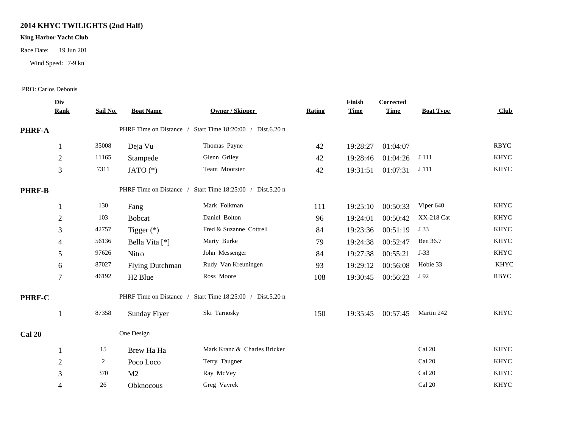## **2014 KHYC TWILIGHTS (2nd Half)**

### **King Harbor Yacht Club**

Race Date: 19 Jun 201

Wind Speed: 7-9 kn

#### PRO: Carlos Debonis

|               | Div<br><b>Rank</b> | Sail No. | <b>Boat Name</b>        | Owner / Skipper                   | Rating | Finish<br><b>Time</b> | <b>Corrected</b><br><b>Time</b> | <b>Boat Type</b> | Club        |  |
|---------------|--------------------|----------|-------------------------|-----------------------------------|--------|-----------------------|---------------------------------|------------------|-------------|--|
| PHRF-A        |                    |          | PHRF Time on Distance / | Start Time 18:20:00 / Dist.6.20 n |        |                       |                                 |                  |             |  |
|               | 1                  | 35008    | Deja Vu                 | Thomas Payne                      | 42     | 19:28:27              | 01:04:07                        |                  | <b>RBYC</b> |  |
|               | $\overline{2}$     | 11165    | Stampede                | Glenn Griley                      | 42     | 19:28:46              | 01:04:26                        | J 111            | <b>KHYC</b> |  |
|               | 3                  | 7311     | JATO $(*)$              | Team Moorster                     | 42     | 19:31:51              | 01:07:31                        | J 111            | <b>KHYC</b> |  |
| <b>PHRF-B</b> |                    |          | PHRF Time on Distance / | Start Time 18:25:00 / Dist.5.20 n |        |                       |                                 |                  |             |  |
|               | 1                  | 130      | Fang                    | Mark Folkman                      | 111    | 19:25:10              | 00:50:33                        | Viper 640        | <b>KHYC</b> |  |
|               | $\overline{2}$     | 103      | <b>Bobcat</b>           | Daniel Bolton                     | 96     | 19:24:01              | 00:50:42                        | XX-218 Cat       | <b>KHYC</b> |  |
|               | 3                  | 42757    | Tigger $(*)$            | Fred & Suzanne Cottrell           | 84     | 19:23:36              | 00:51:19                        | J 33             | <b>KHYC</b> |  |
|               | $\overline{4}$     | 56136    | Bella Vita [*]          | Marty Burke                       | 79     | 19:24:38              | 00:52:47                        | Ben 36.7         | <b>KHYC</b> |  |
|               | 5                  | 97626    | Nitro                   | John Messenger                    | 84     | 19:27:38              | 00:55:21                        | $J-33$           | <b>KHYC</b> |  |
|               | 6                  | 87027    | <b>Flying Dutchman</b>  | Rudy Van Kreuningen               | 93     | 19:29:12              | 00:56:08                        | Hobie 33         | <b>KHYC</b> |  |
|               | $\tau$             | 46192    | H <sub>2</sub> Blue     | Ross Moore                        | 108    | 19:30:45              | 00:56:23                        | J 92             | <b>RBYC</b> |  |
| PHRF-C        |                    |          | PHRF Time on Distance / | Start Time 18:25:00 / Dist.5.20 n |        |                       |                                 |                  |             |  |
|               |                    | 87358    | <b>Sunday Flyer</b>     | Ski Tarnosky                      | 150    | 19:35:45              | 00:57:45                        | Martin 242       | <b>KHYC</b> |  |
| <b>Cal 20</b> |                    |          | One Design              |                                   |        |                       |                                 |                  |             |  |
|               | 1                  | 15       | Brew Ha Ha              | Mark Kranz & Charles Bricker      |        |                       |                                 | Cal 20           | <b>KHYC</b> |  |
|               | $\overline{c}$     | 2        | Poco Loco               | Terry Taugner                     |        |                       |                                 | Cal 20           | <b>KHYC</b> |  |
|               | 3                  | 370      | M <sub>2</sub>          | Ray McVey                         |        |                       |                                 | Cal 20           | <b>KHYC</b> |  |
|               | 4                  | 26       | Obknocous               | Greg Vavrek                       |        |                       |                                 | Cal 20           | <b>KHYC</b> |  |